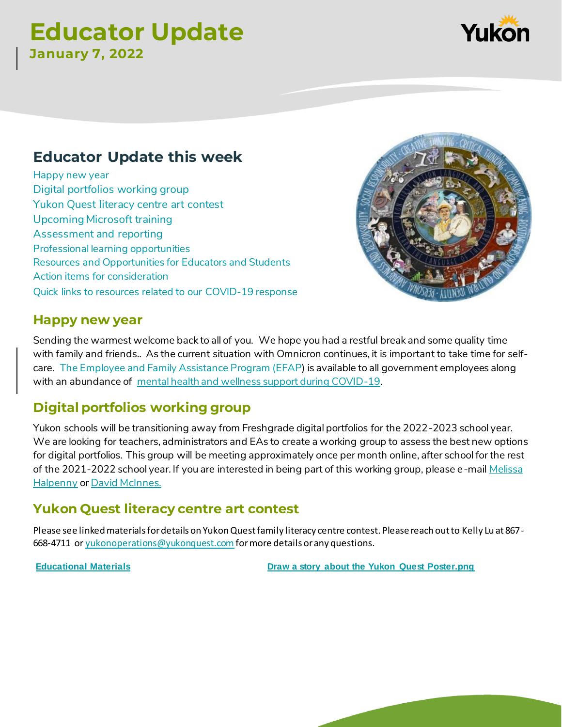# **Educator Update January 7, 2022**

## **Educator Update this week**

Happy new year [Digital portfolios working group](#page-0-0) [Yukon Quest literacy centre art contest](#page-0-1) [Upcoming Microsoft training](#page-1-0) [Assessment and reporting](#page-1-1) [Professional learning opportunities](#page-1-2) [Resources and Opportunities for Educators and Students](#page-2-0) [Action items for consideration](#page-4-0) [Quick links to resources related to our COVID-19 response](#page-4-1)

## **Happy new year**

Sending the warmest welcome back to all of you. We hope you had a restful break and some quality time with family and friends.. As the current situation with Omnicron continues, it is important to take time for selfcare. [The Employee and Family Assistance Program \(EFAP](https://yukon.ca/en/employment/what-we-offer-our-employees/short-term-personal-and-crisis-counselling)) is available to all government employees along with an abundance of [mental health and wellness support during COVID-19](https://yukon.ca/en/health-and-wellness/covid-19/find-covid-19-counselling-and-crisis-support?fbclid=IwAR2NxiB8cjPNaSXeejpJPeyUtHTgXG7EubDABDTxC50nAt8q_PltD9icA9U).

## <span id="page-0-0"></span>**Digital portfolios working group**

Yukon schools will be transitioning away from Freshgrade digital portfolios for the 2022-2023 school year. We are looking for teachers, administrators and EAs to create a working group to assess the best new options for digital portfolios. This group will be meeting approximately once per month online, after school for the rest of the 2021-2022 school year. If you are interested in being part of this working group, please e-mail Melissa [Halpenny](mailto:melissa.halpenny@yukon.ca) o[r David McInnes.](mailto:david.mcinnes@yukon.ca) 

## <span id="page-0-1"></span>**Yukon Quest literacy centre art contest**

Please see linked materials for details on Yukon Quest family literacy centre contest. Please reach out to Kelly Lu at 867- 668-4711 or [yukonoperations@yukonquest.com](mailto:yukonoperations@yukonquest.com) for more details or any questions.

**[Educational Materials](https://drive.google.com/drive/folders/1j1dMcGBPEyayFwRblxj2ENuS8EkXKRIu) [Draw a story about the Yukon Quest Poster.png](https://drive.google.com/file/d/1ukKEDz5LtGCIKXc8UNBZ7JHUAJhqrDfq/view?usp=drive_web)**

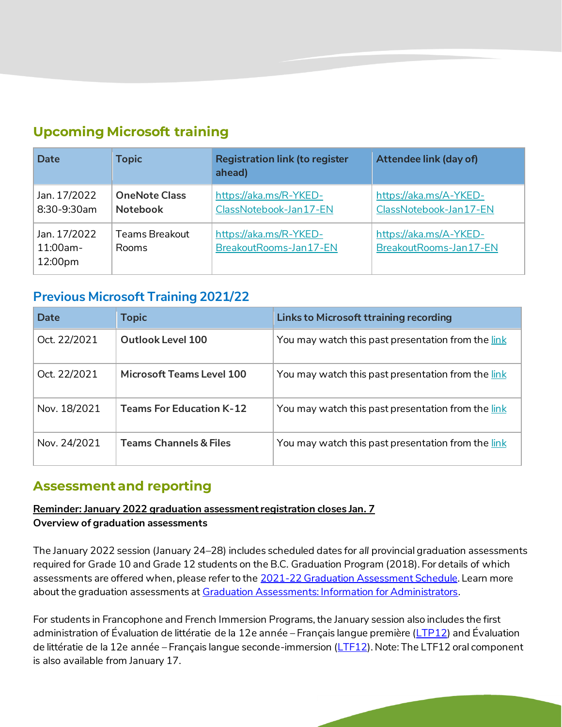## <span id="page-1-0"></span>**Upcoming Microsoft training**

| <b>Date</b>                            | <b>Topic</b>                            | <b>Registration link (to register</b><br>ahead)  | Attendee link (day of)                           |
|----------------------------------------|-----------------------------------------|--------------------------------------------------|--------------------------------------------------|
| Jan. 17/2022<br>8:30-9:30am            | <b>OneNote Class</b><br><b>Notebook</b> | https://aka.ms/R-YKED-<br>ClassNotebook-Jan17-EN | https://aka.ms/A-YKED-<br>ClassNotebook-Jan17-EN |
| Jan. 17/2022<br>$11:00am -$<br>12:00pm | Teams Breakout<br>Rooms                 | https://aka.ms/R-YKED-<br>BreakoutRooms-Jan17-EN | https://aka.ms/A-YKED-<br>BreakoutRooms-Jan17-EN |

## **Previous Microsoft Training 2021/22**

| Date         | <b>Topic</b>                      | <b>Links to Microsoft ttraining recording</b>      |
|--------------|-----------------------------------|----------------------------------------------------|
| Oct. 22/2021 | Outlook Level 100                 | You may watch this past presentation from the link |
| Oct. 22/2021 | Microsoft Teams Level 100         | You may watch this past presentation from the link |
| Nov. 18/2021 | <b>Teams For Education K-12</b>   | You may watch this past presentation from the link |
| Nov. 24/2021 | <b>Teams Channels &amp; Files</b> | You may watch this past presentation from the link |

## <span id="page-1-1"></span>**Assessment and reporting**

#### <span id="page-1-2"></span>**Reminder: January 2022 graduation assessment registration closes Jan. 7 Overview of graduation assessments**

The January 2022 session (January 24–28) includes scheduled dates for *all* provincial graduation assessments required for Grade 10 and Grade 12 students on the B.C. Graduation Program (2018). For details of which assessments are offered when, please refer to the [2021-22 Graduation Assessment Schedu](https://www2.gov.bc.ca/assets/gov/education/administration/kindergarten-to-grade-12/exams/2021-22-graduation-assessment-schedule.pdf)le. Learn more about the graduation assessments a[t Graduation Assessments: Information for Administrators](https://www2.gov.bc.ca/gov/content/education-training/k-12/administration/program-management/assessment/graduation).

<span id="page-1-3"></span>For students in Francophone and French Immersion Programs, the January session also includes the first administration of Évaluation de littératie de la 12e année – Français langue première (<u>LTP12</u>) and Évaluation de littératie de la 12e année – Français langue seconde-immersion [\(LTF12](https://curriculum.gov.bc.ca/provincial/evaluation-de-litteratie-francais-langue-seconde-immersion-12)). Note: The LTF12 oral component is also available from January 17.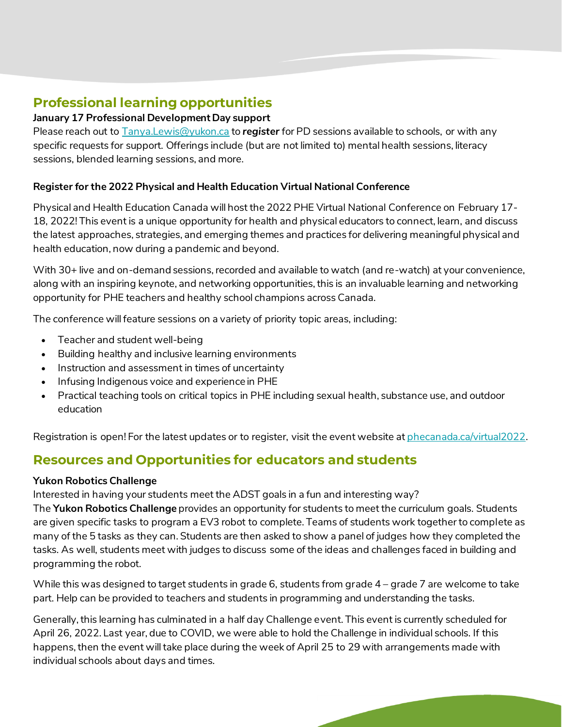## **Professional learning opportunities**

### **January 17 Professional Development Day support**

Please reach out to [Tanya.Lewis@yukon.ca](mailto:Tanya.Lewis@yukon.ca) to *register* for PD sessions available to schools, or with any specific requests for support. Offerings include (but are not limited to) mental health sessions, literacy sessions, blended learning sessions, and more.

#### **Register for the 2022 Physical and Health Education Virtual National Conference**

Physical and Health Education Canada will host the 2022 PHE Virtual National Conference on February 17- 18, 2022! This event is a unique opportunity for health and physical educators to connect, learn, and discuss the latest approaches, strategies, and emerging themes and practices for delivering meaningful physical and health education, now during a pandemic and beyond.

With 30+ live and on-demand sessions, recorded and available to watch (and re-watch) at your convenience, along with an inspiring keynote, and networking opportunities, this is an invaluable learning and networking opportunity for PHE teachers and healthy school champions across Canada.

The conference will feature sessions on a variety of priority topic areas, including:

- Teacher and student well-being
- Building healthy and inclusive learning environments
- Instruction and assessment in times of uncertainty
- Infusing Indigenous voice and experience in PHE
- Practical teaching tools on critical topics in PHE including sexual health, substance use, and outdoor education

Registration is open! For the latest updates or to register, visit the event website at *phecanada.ca/virtual2022*.

## <span id="page-2-0"></span>**Resources and Opportunities for educators and students**

#### **Yukon Robotics Challenge**

Interested in having your students meet the ADST goals in a fun and interesting way?

The **Yukon Robotics Challenge** provides an opportunity for students to meet the curriculum goals. Students are given specific tasks to program a EV3 robot to complete. Teams of students work together to complete as many of the 5 tasks as they can. Students are then asked to show a panel of judges how they completed the tasks. As well, students meet with judges to discuss some of the ideas and challenges faced in building and programming the robot.

While this was designed to target students in grade 6, students from grade 4 – grade 7 are welcome to take part. Help can be provided to teachers and students in programming and understanding the tasks.

Generally, this learning has culminated in a half day Challenge event. This event is currently scheduled for April 26, 2022. Last year, due to COVID, we were able to hold the Challenge in individual schools. If this happens, then the event will take place during the week of April 25 to 29 with arrangements made with individual schools about days and times.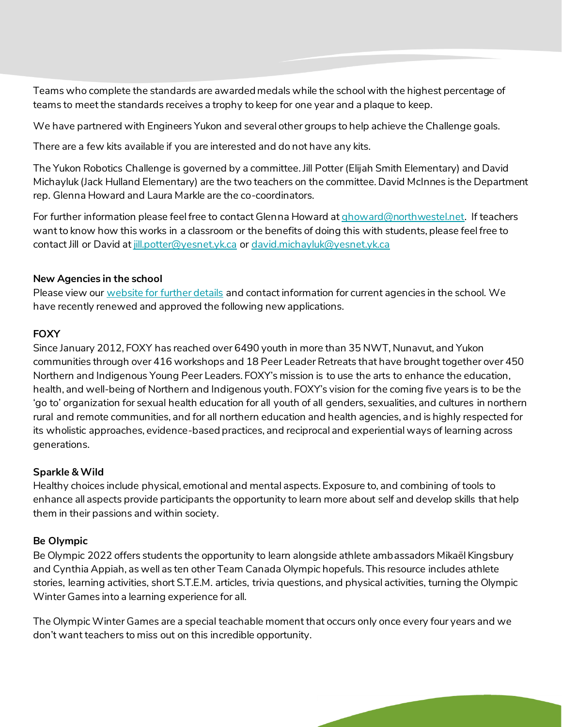Teams who complete the standards are awarded medals while the school with the highest percentage of teams to meet the standards receives a trophy to keep for one year and a plaque to keep.

We have partnered with Engineers Yukon and several other groups to help achieve the Challenge goals.

There are a few kits available if you are interested and do not have any kits.

The Yukon Robotics Challenge is governed by a committee. Jill Potter (Elijah Smith Elementary) and David Michayluk (Jack Hulland Elementary) are the two teachers on the committee. David McInnes is the Department rep. Glenna Howard and Laura Markle are the co-coordinators.

For further information please feel free to contact Glenna Howard a[t ghoward@northwestel.net](mailto:ghoward@northwestel.net). If teachers want to know how this works in a classroom or the benefits of doing this with students, please feel free to contact Jill or David at [jill.potter@yesnet.yk.ca](mailto:jill.potter@yesnet.yk.ca) or [david.michayluk@yesnet.yk.ca](mailto:david.michayluk@yesnet.yk.ca)

#### **New Agencies in the school**

Please view our [website for further details](http://lss.yukonschools.ca/learning-opportunities.html) and contact information for current agencies in the school. We have recently renewed and approved the following new applications.

#### **FOXY**

Since January 2012, FOXY has reached over 6490 youth in more than 35 NWT, Nunavut, and Yukon communities through over 416 workshops and 18 Peer Leader Retreats that have brought together over 450 Northern and Indigenous Young Peer Leaders. FOXY's mission is to use the arts to enhance the education, health, and well-being of Northern and Indigenous youth. FOXY's vision for the coming five years is to be the 'go to' organization for sexual health education for all youth of all genders, sexualities, and cultures in northern rural and remote communities, and for all northern education and health agencies, and is highly respected for its wholistic approaches, evidence-based practices, and reciprocal and experiential ways of learning across generations.

#### **Sparkle & Wild**

Healthy choices include physical, emotional and mental aspects. Exposure to, and combining of tools to enhance all aspects provide participants the opportunity to learn more about self and develop skills that help them in their passions and within society.

#### **Be Olympic**

Be Olympic 2022 offers students the opportunity to learn alongside athlete ambassadors Mikaël Kingsbury and Cynthia Appiah, as well as ten other Team Canada Olympic hopefuls. This resource includes athlete stories, learning activities, short S.T.E.M. articles, trivia questions, and physical activities, turning the Olympic Winter Games into a learning experience for all.

The Olympic Winter Games are a special teachable moment that occurs only once every four years and we don't want teachers to miss out on this incredible opportunity.